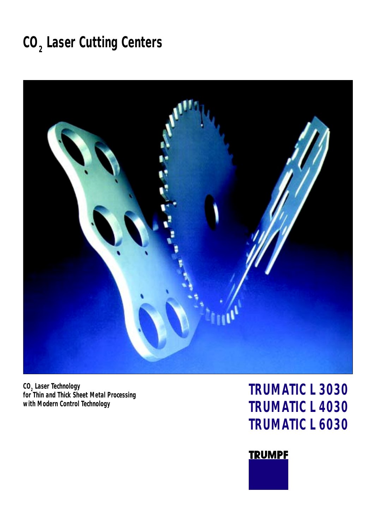# **CO2 Laser Cutting Centers**



**CO2 Laser Technology for Thin and Thick Sheet Metal Processing with Modern Control Technology**

# **TRUMATIC L 3030 TRUMATIC L 4030 TRUMATIC L 6030**

### **TRUMPF**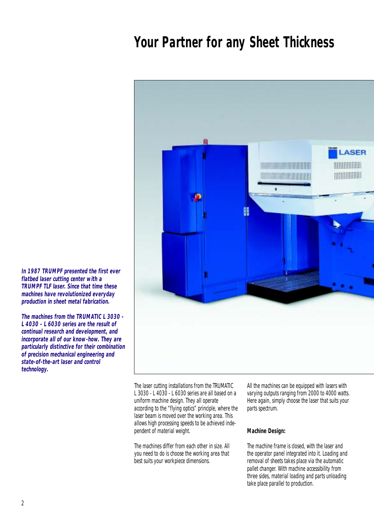## **Your Partner for any Sheet Thickness**



**In 1987 TRUMPF presented the first ever flatbed laser cutting center with a TRUMPF TLF laser. Since that time these machines have revolutionized everyday production in sheet metal fabrication.**

**The machines from the TRUMATIC L 3030 - L 4030 - L 6030 series are the result of continual research and development, and incorporate all of our know-how. They are particularly distinctive for their combination of precision mechanical engineering and state-of-the-art laser and control technology.**

> The laser cutting installations from the TRUMATIC L 3030 - L 4030 - L 6030 series are all based on a uniform machine design. They all operate according to the " flying optics" principle, where the laser beam is moved over the working area. This allows high processing speeds to be achieved independent of material weight.

The machines differ from each other in size. All you need to do is choose the working area that best suits your workpiece dimensions.

All the machines can be equipped with lasers with varying outputs ranging from 2000 to 4000 watts. Here again, simply choose the laser that suits your parts spectrum.

### **Machine Design:**

The machine frame is closed, with the laser and the operator panel integrated into it. Loading and removal of sheets takes place via the automatic pallet changer. With machine accessibility from three sides, material loading and parts unloading take place parallel to production.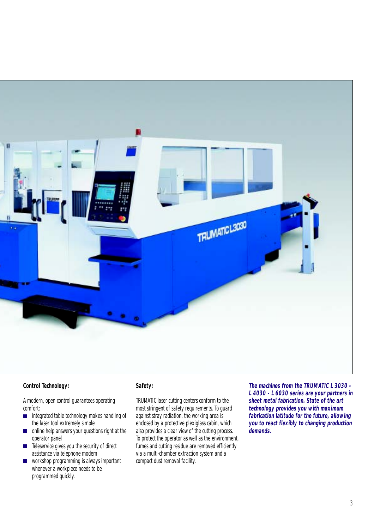

### **Control Technology:**

A modern, open control guarantees operating comfort:

- integrated table technology makes handling of  $\mathcal{L}_{\mathcal{A}}$ the laser tool extremely simple
- online help answers your questions right at the  $\blacksquare$ operator panel
- Teleservice gives you the security of direct assistance via telephone modem
- workshop programming is always important  $\mathcal{L}_{\mathcal{A}}$ whenever a workpiece needs to be programmed quickly.

### **Safety:**

TRUMATIC laser cutting centers conform to the most stringent of safety requirements. To guard against stray radiation, the working area is enclosed by a protective plexiglass cabin, which also provides a clear view of the cutting process. To protect the operator as well as the environment, fumes and cutting residue are removed efficiently via a multi-chamber extraction system and a compact dust removal facility.

**The machines from the TRUMATIC L 3030 - L 4030 - L 6030 series are your partners in sheet metal fabrication. State of the art technology provides you with maximum fabrication latitude for the future, allowing you to react flexibly to changing production demands.**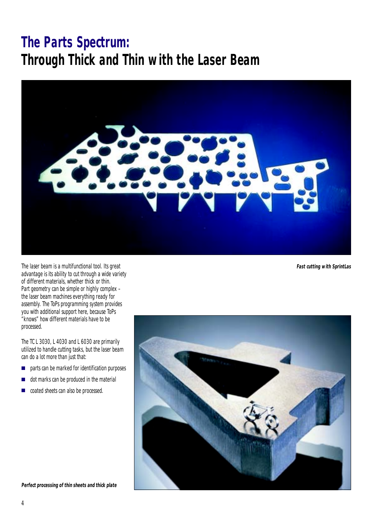# **The Parts Spectrum: Through Thick and Thin with the Laser Beam**



The laser beam is a multifunctional tool. Its great advantage is its ability to cut through a wide variety of different materials, whether thick or thin. Part geometry can be simple or highly complex – the laser beam machines everything ready for assembly. The ToPs programming system provides you with additional support here, because ToPs " knows" how different materials have to be processed.

The TC L 3030, L 4030 and L 6030 are primarily utilized to handle cutting tasks, but the laser beam can do a lot more than just that:

- parts can be marked for identification purposes  $\mathbb{R}^2$
- dot marks can be produced in the material r.
- coated sheets can also be processed.**I**

**Fast cutting with SprintLas**



**Perfect processing of thin sheets and thick plate**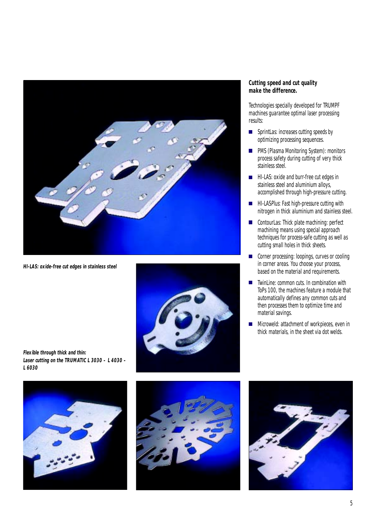

**HI-LAS: oxide-free cut edges in stainless steel**



**Cutting speed and cut quality make the difference.**

Technologies specially developed for TRUMPF machines guarantee optimal laser processing results:

- SprintLas: increases cutting speeds by optimizing processing sequences.
- **PMS (Plasma Monitoring System): monitors** process safety during cutting of very thick stainless steel.
- **HI-LAS: oxide and burr-free cut edges in** stainless steel and aluminium alloys, accomplished through high-pressure cutting.
- **HI-LASPlus: Fast high-pressure cutting with** nitrogen in thick aluminium and stainless steel.
- ContourLas: Thick plate machining: perfect machining means using special approach techniques for process-safe cutting as well as cutting small holes in thick sheets.
- Corner processing: loopings, curves or cooling in corner areas. You choose your process, based on the material and requirements.
- TwinLine: common cuts. In combination with  $\overline{\phantom{0}}$ ToPs 100, the machines feature a module that automatically defines any common cuts and then processes them to optimize time and material savings.
- Microweld: attachment of workpieces, even in  $\overline{\mathbb{R}}$ thick materials, in the sheet via dot welds.

**Flexible through thick and thin: Laser cutting on the TRUMATIC L 3030 – L 4030 – L 6030**





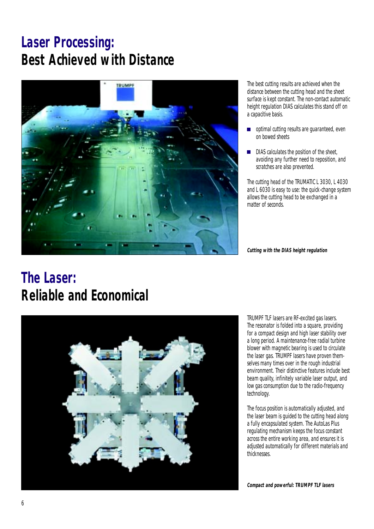# **Laser Processing: Best Achieved with Distance**



The best cutting results are achieved when the distance between the cutting head and the sheet surface is kept constant. The non-contact automatic height regulation DIAS calculates this stand off on a capacitive basis.

- Ē. optimal cutting results are guaranteed, even on bowed sheets
- DIAS calculates the position of the sheet. avoiding any further need to reposition, and scratches are also prevented.

The cutting head of the TRUMATIC L 3030, L 4030 and L 6030 is easy to use: the quick-change system allows the cutting head to be exchanged in a matter of seconds.

**Cutting with the DIAS height regulation**

# **The Laser: Reliable and Economical**



TRUMPF TLF lasers are RF-excited gas lasers. The resonator is folded into a square, providing for a compact design and high laser stability over a long period. A maintenance-free radial turbine blower with magnetic bearing is used to circulate the laser gas. TRUMPF lasers have proven themselves many times over in the rough industrial environment. Their distinctive features include best beam quality, infinitely variable laser output, and low gas consumption due to the radio-frequency technology.

The focus position is automatically adjusted, and the laser beam is guided to the cutting head along a fully encapsulated system. The AutoLas Plus regulating mechanism keeps the focus constant across the entire working area, and ensures it is adjusted automatically for different materials and thicknesses.

**Compact and powerful: TRUMPF TLF lasers**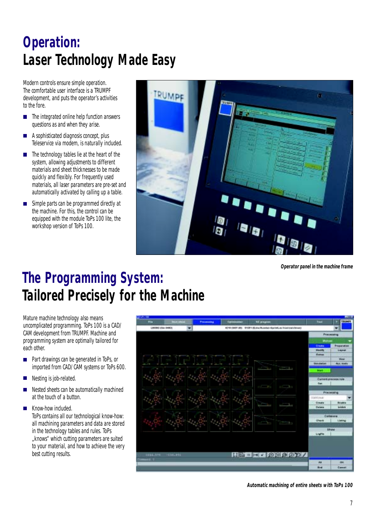# **Operation: Laser Technology Made Easy**

Modern controls ensure simple operation. The comfortable user interface is a TRUMPF development, and puts the operator's activities to the fore.

- $\blacksquare$  The integrated online help function answers questions as and when they arise.
- A sophisticated diagnosis concept, plus Teleservice via modem, is naturally included.
- The technology tables lie at the heart of the system, allowing adjustments to different materials and sheet thicknesses to be made quickly and flexibly. For frequently used materials, all laser parameters are pre-set and automatically activated by calling up a table.
- Simple parts can be programmed directly at  $\blacksquare$ the machine. For this, the control can be equipped with the module ToPs 100 lite, the workshop version of ToPs 100.



**Operator panel in the machine frame**

# **The Programming System: Tailored Precisely for the Machine**

Mature machine technology also means uncomplicated programming. ToPs 100 is a CAD/ CAM development from TRUMPF. Machine and programming system are optimally tailored for each other.

- Part drawings can be generated in ToPs, or imported from CAD/CAM systems or ToPs 600.
- Nesting is job-related.
- Nested sheets can be automatically machined at the touch of a button.

**Know-how included.** ToPs contains all our technological know-how: all machining parameters and data are stored in the technology tables and rules. ToPs "knows" which cutting parameters are suited to your material, and how to achieve the very best cutting results.



**Automatic machining of entire sheets with ToPs 100**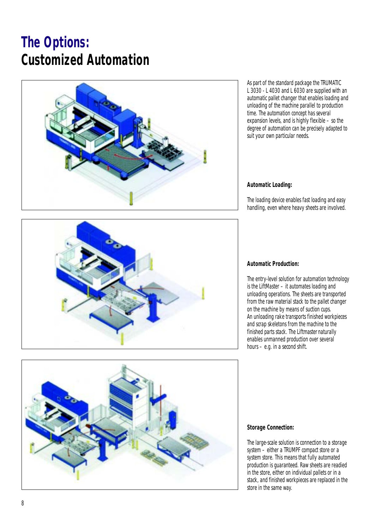# **The Options: Customized Automation**



As part of the standard package the TRUMATIC L 3030 - L 4030 and L 6030 are supplied with an automatic pallet changer that enables loading and unloading of the machine parallel to production time. The automation concept has several expansion levels, and is highly flexible – so the degree of automation can be precisely adapted to suit your own particular needs.

### **Automatic Loading:**

The loading device enables fast loading and easy handling, even where heavy sheets are involved.



### **Automatic Production:**

The entry-level solution for automation technology is the LiftMaster – it automates loading and unloading operations. The sheets are transported from the raw material stack to the pallet changer on the machine by means of suction cups. An unloading rake transports finished workpieces and scrap skeletons from the machine to the finished parts stack. The Liftmasternaturally enables unmanned production over several hours – e.g. in a second shift.



#### **Storage Connection:**

The large-scale solution is connection to a storage system – either a TRUMPF compact store or a system store. This means that fully automated production is guaranteed. Raw sheets are readied in the store, either on individual pallets or in a stack, and finished workpieces are replaced in the store in the same way.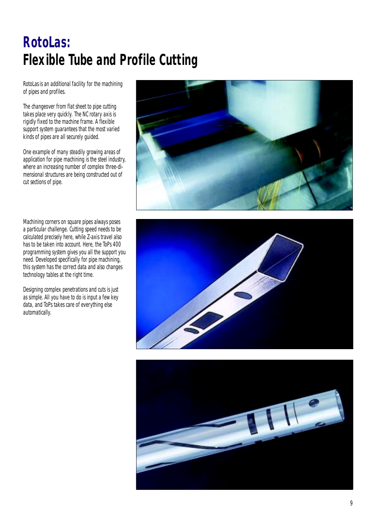# **RotoLas: Flexible Tube and Profile Cutting**

RotoLas is an additional facility for the machining of pipes and profiles.

The changeover from flat sheet to pipe cutting takes place very quickly. The NC rotary axis is rigidly fixed to the machine frame. A flexible support system guarantees that the most varied kinds of pipes are all securely guided.

One example of many steadily growing areas of application for pipe machining is the steel industry, where an increasing number of complex three-dimensional structures are being constructed out of cut sections of pipe.

Machining corners on square pipes always poses a particular challenge. Cutting speed needs to be calculated precisely here, while Z-axis travel also has to be taken into account. Here, the ToPs 400 programming system gives you all the support you need. Developed specifically for pipe machining, this system has the correct data and also changes technology tables at the right time.

Designing complex penetrations and cuts is just as simple. All you have to do is input a few key data, and ToPs takes care of everything else automatically.





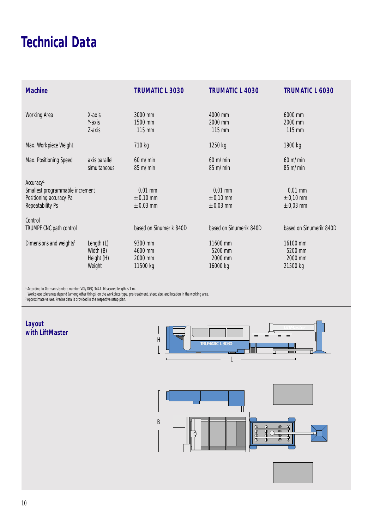# **Technical Data**

| <b>Machine</b>                                                                                                 |                                                 | <b>TRUMATIC L 3030</b>                      | <b>TRUMATIC L 4030</b>                      | <b>TRUMATIC L 6030</b>                      |
|----------------------------------------------------------------------------------------------------------------|-------------------------------------------------|---------------------------------------------|---------------------------------------------|---------------------------------------------|
| <b>Working Area</b>                                                                                            | X-axis<br>Y-axis<br>Z-axis                      | 3000 mm<br>1500 mm<br>115 mm                | 4000 mm<br>2000 mm<br>115 mm                | 6000 mm<br>2000 mm<br>115 mm                |
| Max. Workpiece Weight                                                                                          |                                                 | 710 kg                                      | 1250 kg                                     | 1900 kg                                     |
| Max. Positioning Speed                                                                                         | axis parallel<br>simultaneous                   | $60 \text{ m/min}$<br>85 m/min              | $60 \text{ m/min}$<br>85 m/min              | $60 \text{ m/min}$<br>85 m/min              |
| Accuracy <sup>1</sup><br>Smallest programmable increment<br>Positioning accuracy Pa<br><b>Repeatability Ps</b> |                                                 | $0,01$ mm<br>$\pm$ 0,10 mm<br>$\pm$ 0,03 mm | $0,01$ mm<br>$\pm$ 0,10 mm<br>$\pm$ 0,03 mm | $0,01$ mm<br>$\pm$ 0,10 mm<br>$\pm$ 0,03 mm |
| Control<br><b>TRUMPF CNC path control</b>                                                                      |                                                 | based on Sinumerik 840D                     | based on Sinumerik 840D                     | based on Sinumerik 840D                     |
| Dimensions and weights <sup>2</sup>                                                                            | Length (L)<br>Width (B)<br>Height (H)<br>Weight | 9300 mm<br>4600 mm<br>2000 mm<br>11500 kg   | 11600 mm<br>5200 mm<br>2000 mm<br>16000 kg  | 16100 mm<br>5200 mm<br>2000 mm<br>21500 kg  |

<sup>1</sup> According to German standard number VDI/DGQ 3441. Measured length is 1 m.

Workpiece tolerances depend (among other things) on the workpiece type, pre-treatment, sheet size, and location in the working area.

<sup>2</sup> Approximate values. Precise data is provided in the respective setup plan.

### **Layout with LiftMaster**



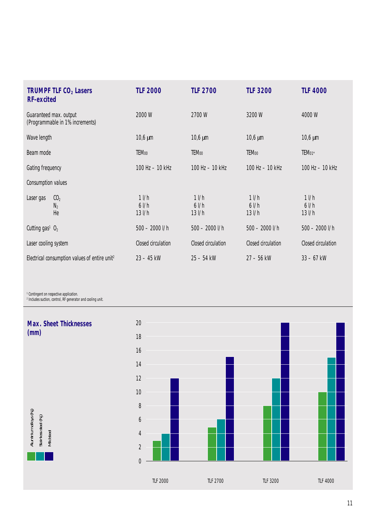| <b>TRUMPF TLF CO<sub>2</sub> Lasers</b><br><b>RF-excited</b> |                                | <b>TLF 2000</b>            | <b>TLF 2700</b>            | <b>TLF 3200</b>            | <b>TLF 4000</b>            |
|--------------------------------------------------------------|--------------------------------|----------------------------|----------------------------|----------------------------|----------------------------|
| Guaranteed max. output<br>(Programmable in 1% increments)    |                                | 2000W                      | 2700W                      | 3200 W                     | 4000W                      |
| Wave length                                                  |                                | $10,6 \mu m$               | $10,6 \mu m$               | $10,6 \mu m$               | $10,6 \mu m$               |
| Beam mode                                                    |                                | <b>TEM00</b>               | <b>TEMoo</b>               | <b>TEMoo</b>               | TEM01*                     |
| Gating frequency                                             |                                | 100 Hz - 10 kHz            | 100 Hz - 10 kHz            | 100 Hz - 10 kHz            | 100 Hz - 10 kHz            |
| <b>Consumption values</b>                                    |                                |                            |                            |                            |                            |
| Laser gas                                                    | CO <sub>2</sub><br>$N_2$<br>He | 11/h<br>61/h<br>$13$ $I/h$ | 11/h<br>61/h<br>$13$ $I/h$ | 11/h<br>61/h<br>$13$ $I/h$ | 11/h<br>61/h<br>$13$ $I/h$ |
| Cutting gas <sup>1</sup> $O_2$                               |                                | 500 - 2000 l/h             | 500 - 2000 l/h             | 500 - 2000 l/h             | 500 - 2000 l/h             |
| Laser cooling system                                         |                                | <b>Closed circulation</b>  | <b>Closed circulation</b>  | <b>Closed circulation</b>  | Closed circulation         |
| Electrical consumption values of entire unit <sup>2</sup>    |                                | 23 - 45 kW                 | 25 - 54 kW                 | 27 - 56 kW                 | 33 - 67 kW                 |

Aluminium alloys (N2)

1 Contingent on respective application. 2 Includes suction, control, RF generator and cooling unit.